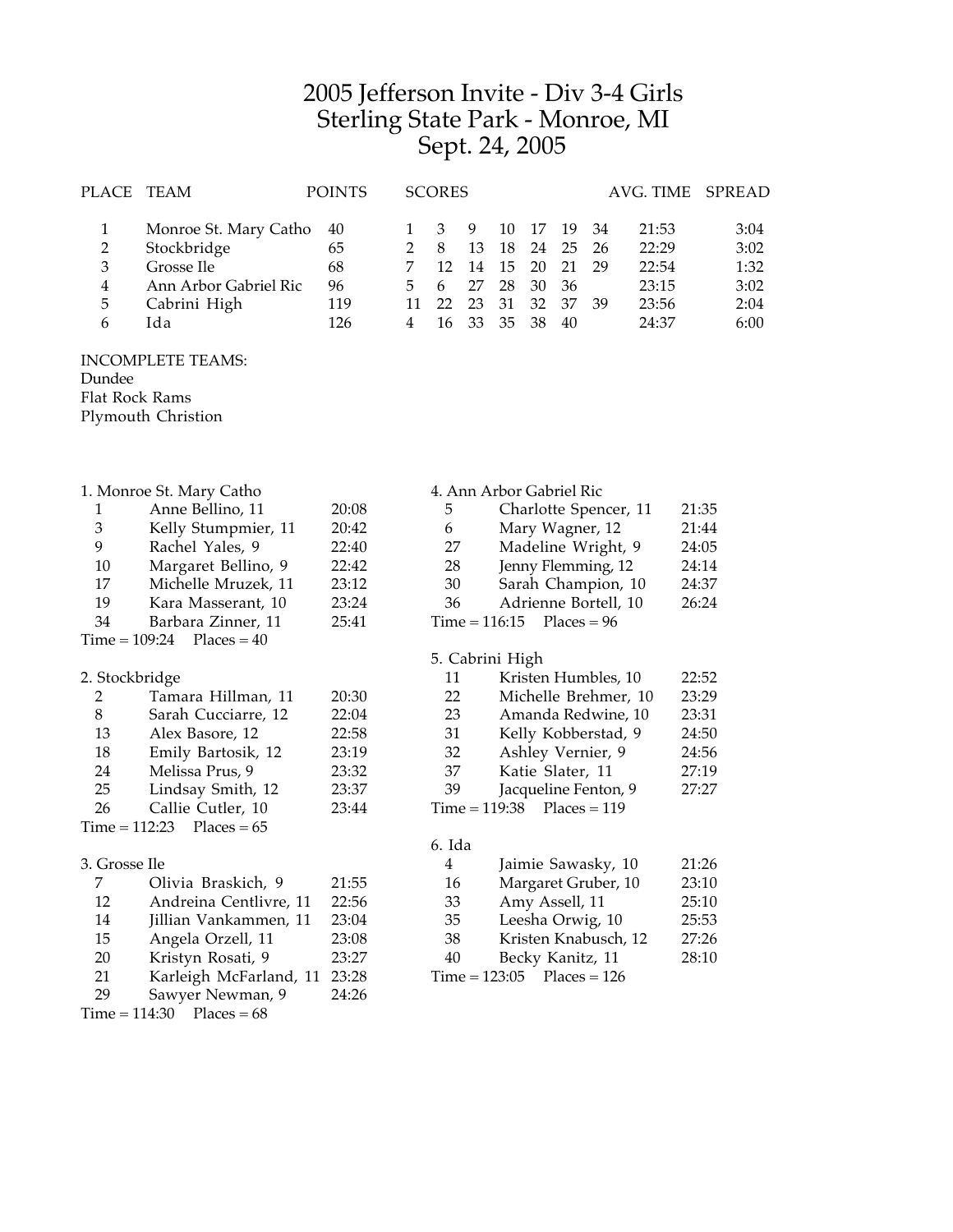## Jefferson Invite - Div 3-4 Girls Sterling State Park - Monroe, MI Sept. 24, 2005

| PLACE TEAM |                       | <b>POINTS</b> |    | <b>SCORES</b> |       |     |     |     |      | AVG. TIME SPREAD |      |
|------------|-----------------------|---------------|----|---------------|-------|-----|-----|-----|------|------------------|------|
|            | Monroe St. Mary Catho | 40            |    |               | -9    | 10  | -17 | -19 | - 34 | 21:53            | 3:04 |
| 2          | Stockbridge           | 65            |    | 8             | 13    | 18  | 24  | -25 | -26  | 22:29            | 3:02 |
| 3          | Grosse Ile            | 68            |    |               | 14    | 15  | 20  | 21  | 29   | 22:54            | 1:32 |
| 4          | Ann Arbor Gabriel Ric | 96            | 5. |               | 27    | 28  | 30  | 36  |      | 23:15            | 3:02 |
| 5          | Cabrini High          | 119           |    | $22^{\circ}$  | 23    | 31  | 32  | 37  | -39  | 23:56            | 2:04 |
| h          | Ida                   | 126           | 4  |               | 16 33 | -35 | 38  | 40  |      | 24:37            | 6:00 |
|            |                       |               |    |               |       |     |     |     |      |                  |      |

INCOMPLETE TEAMS: Dundee Flat Rock Rams

Plymouth Christion

|                             | 1. Monroe St. Mary Catho |       |                                   | 4. Ann Arbor Gabriel Ric |       |  |
|-----------------------------|--------------------------|-------|-----------------------------------|--------------------------|-------|--|
| 1                           | Anne Bellino, 11         | 20:08 | 5                                 | Charlotte Spencer, 11    | 21:35 |  |
| $\ensuremath{\mathfrak{Z}}$ | Kelly Stumpmier, 11      | 20:42 | 6                                 | Mary Wagner, 12          | 21:44 |  |
| 9                           | Rachel Yales, 9          | 22:40 | 27                                | Madeline Wright, 9       | 24:05 |  |
| 10                          | Margaret Bellino, 9      | 22:42 | 28                                | Jenny Flemming, 12       | 24:14 |  |
| 17                          | Michelle Mruzek, 11      | 23:12 | 30                                | Sarah Champion, 10       | 24:37 |  |
| 19                          | Kara Masserant, 10       | 23:24 | 36                                | Adrienne Bortell, 10     | 26:24 |  |
| 34                          | Barbara Zinner, 11       | 25:41 | $Time = 116:15$<br>$Places = 96$  |                          |       |  |
| $Time = 109:24$             | $Places = 40$            |       |                                   |                          |       |  |
|                             |                          |       | 5. Cabrini High                   |                          |       |  |
| 2. Stockbridge              |                          |       | 11                                | Kristen Humbles, 10      | 22:52 |  |
| 2                           | Tamara Hillman, 11       | 20:30 | 22                                | Michelle Brehmer, 10     | 23:29 |  |
| 8                           | Sarah Cucciarre, 12      | 22:04 | 23                                | Amanda Redwine, 10       | 23:31 |  |
| 13                          | Alex Basore, 12          | 22:58 | 31                                | Kelly Kobberstad, 9      | 24:50 |  |
| 18                          | Emily Bartosik, 12       | 23:19 | 32                                | Ashley Vernier, 9        | 24:56 |  |
| 24                          | Melissa Prus, 9          | 23:32 | 37                                | Katie Slater, 11         | 27:19 |  |
| 25                          | Lindsay Smith, 12        | 23:37 | 39                                | Jacqueline Fenton, 9     | 27:27 |  |
| 26                          | Callie Cutler, 10        | 23:44 | $Time = 119:38$<br>$Places = 119$ |                          |       |  |
| $Time = 112:23$             | $Places = 65$            |       |                                   |                          |       |  |
|                             |                          |       | 6. Ida                            |                          |       |  |
| 3. Grosse Ile               |                          |       | 4                                 | Jaimie Sawasky, 10       | 21:26 |  |
| 7                           | Olivia Braskich, 9       | 21:55 | 16                                | Margaret Gruber, 10      | 23:10 |  |
| 12                          | Andreina Centlivre, 11   | 22:56 | 33                                | Amy Assell, 11           | 25:10 |  |
| 14                          | Jillian Vankammen, 11    | 23:04 | 35                                | Leesha Orwig, 10         | 25:53 |  |
| 15                          | Angela Orzell, 11        | 23:08 | 38                                | Kristen Knabusch, 12     | 27:26 |  |
| 20                          | Kristyn Rosati, 9        | 23:27 | 40                                | Becky Kanitz, 11         | 28:10 |  |
| 21                          | Karleigh McFarland, 11   | 23:28 | $Time = 123:05$                   | $Places = 126$           |       |  |
| 29                          | Sawyer Newman, 9         | 24:26 |                                   |                          |       |  |
| $Time = 114:30$             | $Places = 68$            |       |                                   |                          |       |  |